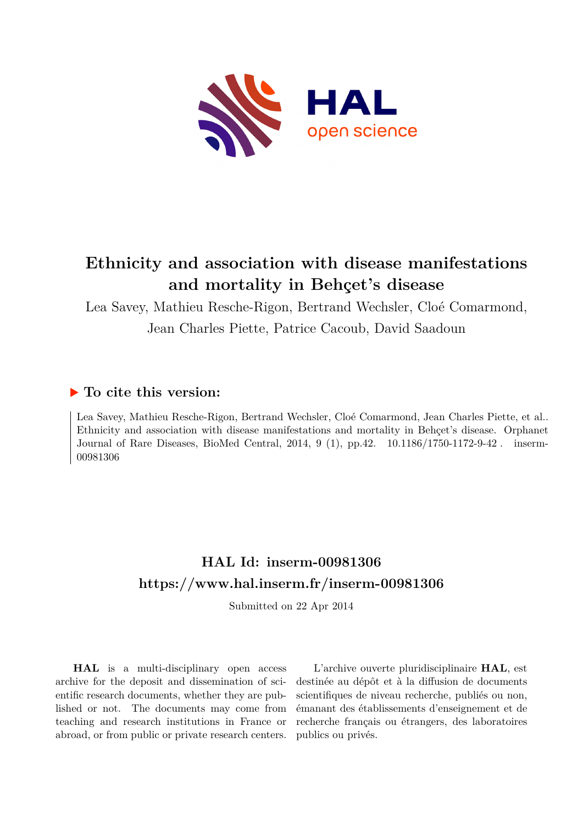

## **Ethnicity and association with disease manifestations and mortality in Behçet's disease**

Lea Savey, Mathieu Resche-Rigon, Bertrand Wechsler, Cloé Comarmond, Jean Charles Piette, Patrice Cacoub, David Saadoun

## **To cite this version:**

Lea Savey, Mathieu Resche-Rigon, Bertrand Wechsler, Cloé Comarmond, Jean Charles Piette, et al.. Ethnicity and association with disease manifestations and mortality in Behçet's disease. Orphanet Journal of Rare Diseases, BioMed Central, 2014, 9 (1), pp.42. 10.1186/1750-1172-9-42. inserm-00981306ff

## **HAL Id: inserm-00981306 <https://www.hal.inserm.fr/inserm-00981306>**

Submitted on 22 Apr 2014

**HAL** is a multi-disciplinary open access archive for the deposit and dissemination of scientific research documents, whether they are published or not. The documents may come from teaching and research institutions in France or abroad, or from public or private research centers.

L'archive ouverte pluridisciplinaire **HAL**, est destinée au dépôt et à la diffusion de documents scientifiques de niveau recherche, publiés ou non, émanant des établissements d'enseignement et de recherche français ou étrangers, des laboratoires publics ou privés.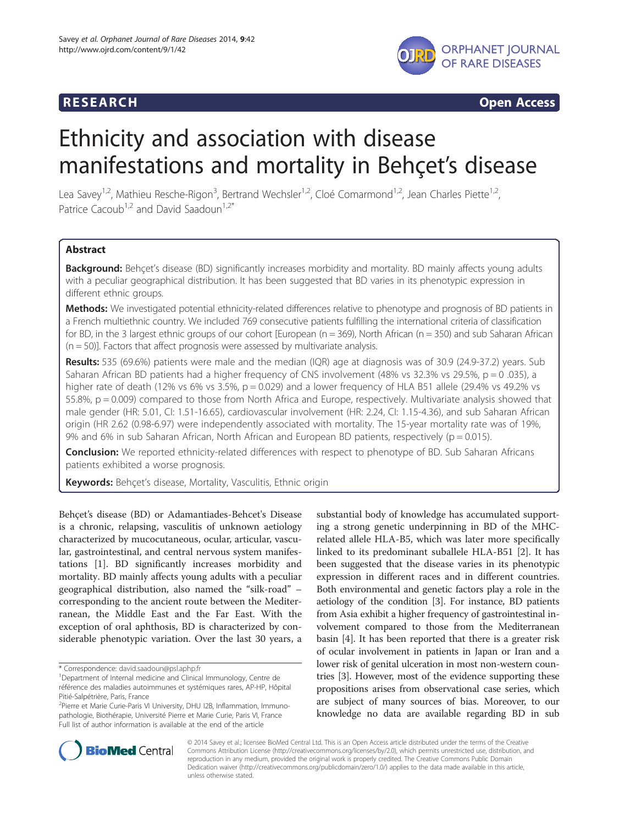

**RESEARCH CHINESEARCH CHINESEARCH CHINESE** 

# Ethnicity and association with disease manifestations and mortality in Behçet's disease

Lea Savey<sup>1,2</sup>, Mathieu Resche-Rigon<sup>3</sup>, Bertrand Wechsler<sup>1,2</sup>, Cloé Comarmond<sup>1,2</sup>, Jean Charles Piette<sup>1,2</sup> , Patrice Cacoub<sup>1,2</sup> and David Saadoun<sup>1,2\*</sup>

### **Abstract**

Background: Behçet's disease (BD) significantly increases morbidity and mortality. BD mainly affects young adults with a peculiar geographical distribution. It has been suggested that BD varies in its phenotypic expression in different ethnic groups.

Methods: We investigated potential ethnicity-related differences relative to phenotype and prognosis of BD patients in a French multiethnic country. We included 769 consecutive patients fulfilling the international criteria of classification for BD, in the 3 largest ethnic groups of our cohort [European ( $n = 369$ ), North African ( $n = 350$ ) and sub Saharan African  $(n = 50)$ ]. Factors that affect prognosis were assessed by multivariate analysis.

Results: 535 (69.6%) patients were male and the median (IQR) age at diagnosis was of 30.9 (24.9-37.2) years. Sub Saharan African BD patients had a higher frequency of CNS involvement (48% vs 32.3% vs 29.5%, p = 0 .035), a higher rate of death (12% vs 6% vs 3.5%,  $p = 0.029$ ) and a lower frequency of HLA B51 allele (29.4% vs 49.2% vs 55.8%, p = 0.009) compared to those from North Africa and Europe, respectively. Multivariate analysis showed that male gender (HR: 5.01, CI: 1.51-16.65), cardiovascular involvement (HR: 2.24, CI: 1.15-4.36), and sub Saharan African origin (HR 2.62 (0.98-6.97) were independently associated with mortality. The 15-year mortality rate was of 19%, 9% and 6% in sub Saharan African, North African and European BD patients, respectively ( $p = 0.015$ ).

**Conclusion:** We reported ethnicity-related differences with respect to phenotype of BD. Sub Saharan Africans patients exhibited a worse prognosis.

Keywords: Behçet's disease, Mortality, Vasculitis, Ethnic origin

Behçet's disease (BD) or Adamantiades-Behcet's Disease is a chronic, relapsing, vasculitis of unknown aetiology characterized by mucocutaneous, ocular, articular, vascular, gastrointestinal, and central nervous system manifestations [[1\]](#page-6-0). BD significantly increases morbidity and mortality. BD mainly affects young adults with a peculiar geographical distribution, also named the "silk-road" – corresponding to the ancient route between the Mediterranean, the Middle East and the Far East. With the exception of oral aphthosis, BD is characterized by considerable phenotypic variation. Over the last 30 years, a

substantial body of knowledge has accumulated supporting a strong genetic underpinning in BD of the MHCrelated allele HLA-B5, which was later more specifically linked to its predominant suballele HLA-B51 [[2\]](#page-6-0). It has been suggested that the disease varies in its phenotypic expression in different races and in different countries. Both environmental and genetic factors play a role in the aetiology of the condition [[3\]](#page-6-0). For instance, BD patients from Asia exhibit a higher frequency of gastrointestinal involvement compared to those from the Mediterranean basin [\[4](#page-6-0)]. It has been reported that there is a greater risk of ocular involvement in patients in Japan or Iran and a lower risk of genital ulceration in most non-western countries [\[3](#page-6-0)]. However, most of the evidence supporting these propositions arises from observational case series, which are subject of many sources of bias. Moreover, to our knowledge no data are available regarding BD in sub



© 2014 Savey et al.; licensee BioMed Central Ltd. This is an Open Access article distributed under the terms of the Creative Commons Attribution License [\(http://creativecommons.org/licenses/by/2.0\)](http://creativecommons.org/licenses/by/2.0), which permits unrestricted use, distribution, and reproduction in any medium, provided the original work is properly credited. The Creative Commons Public Domain Dedication waiver [\(http://creativecommons.org/publicdomain/zero/1.0/](http://creativecommons.org/publicdomain/zero/1.0/)) applies to the data made available in this article, unless otherwise stated.

<sup>\*</sup> Correspondence: [david.saadoun@psl.aphp.fr](mailto:david.saadoun@psl.aphp.fr)

<sup>&</sup>lt;sup>1</sup>Department of Internal medicine and Clinical Immunology, Centre de référence des maladies autoimmunes et systémiques rares, AP-HP, Hôpital Pitié-Salpétrière, Paris, France

<sup>&</sup>lt;sup>2</sup>Pierre et Marie Curie-Paris VI University, DHU I2B, Inflammation, Immunopathologie, Biothérapie, Université Pierre et Marie Curie, Paris VI, France Full list of author information is available at the end of the article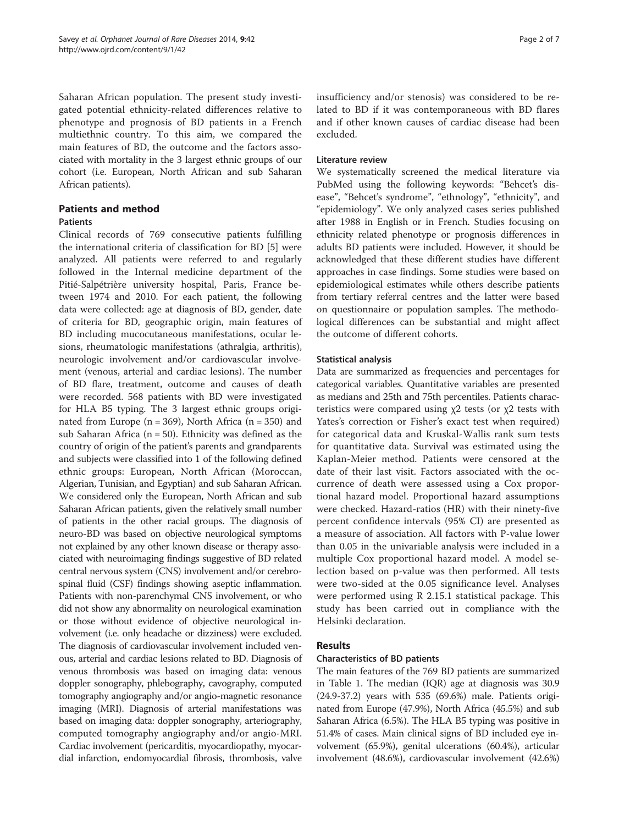Saharan African population. The present study investigated potential ethnicity-related differences relative to phenotype and prognosis of BD patients in a French multiethnic country. To this aim, we compared the main features of BD, the outcome and the factors associated with mortality in the 3 largest ethnic groups of our cohort (i.e. European, North African and sub Saharan African patients).

#### Patients and method

#### **Patients**

Clinical records of 769 consecutive patients fulfilling the international criteria of classification for BD [\[5\]](#page-6-0) were analyzed. All patients were referred to and regularly followed in the Internal medicine department of the Pitié-Salpétrière university hospital, Paris, France between 1974 and 2010. For each patient, the following data were collected: age at diagnosis of BD, gender, date of criteria for BD, geographic origin, main features of BD including mucocutaneous manifestations, ocular lesions, rheumatologic manifestations (athralgia, arthritis), neurologic involvement and/or cardiovascular involvement (venous, arterial and cardiac lesions). The number of BD flare, treatment, outcome and causes of death were recorded. 568 patients with BD were investigated for HLA B5 typing. The 3 largest ethnic groups originated from Europe ( $n = 369$ ), North Africa ( $n = 350$ ) and sub Saharan Africa ( $n = 50$ ). Ethnicity was defined as the country of origin of the patient's parents and grandparents and subjects were classified into 1 of the following defined ethnic groups: European, North African (Moroccan, Algerian, Tunisian, and Egyptian) and sub Saharan African. We considered only the European, North African and sub Saharan African patients, given the relatively small number of patients in the other racial groups. The diagnosis of neuro-BD was based on objective neurological symptoms not explained by any other known disease or therapy associated with neuroimaging findings suggestive of BD related central nervous system (CNS) involvement and/or cerebrospinal fluid (CSF) findings showing aseptic inflammation. Patients with non-parenchymal CNS involvement, or who did not show any abnormality on neurological examination or those without evidence of objective neurological involvement (i.e. only headache or dizziness) were excluded. The diagnosis of cardiovascular involvement included venous, arterial and cardiac lesions related to BD. Diagnosis of venous thrombosis was based on imaging data: venous doppler sonography, phlebography, cavography, computed tomography angiography and/or angio-magnetic resonance imaging (MRI). Diagnosis of arterial manifestations was based on imaging data: doppler sonography, arteriography, computed tomography angiography and/or angio-MRI. Cardiac involvement (pericarditis, myocardiopathy, myocardial infarction, endomyocardial fibrosis, thrombosis, valve insufficiency and/or stenosis) was considered to be related to BD if it was contemporaneous with BD flares and if other known causes of cardiac disease had been excluded.

#### Literature review

We systematically screened the medical literature via PubMed using the following keywords: "Behcet's disease", "Behcet's syndrome", "ethnology", "ethnicity", and "epidemiology". We only analyzed cases series published after 1988 in English or in French. Studies focusing on ethnicity related phenotype or prognosis differences in adults BD patients were included. However, it should be acknowledged that these different studies have different approaches in case findings. Some studies were based on epidemiological estimates while others describe patients from tertiary referral centres and the latter were based on questionnaire or population samples. The methodological differences can be substantial and might affect the outcome of different cohorts.

#### Statistical analysis

Data are summarized as frequencies and percentages for categorical variables. Quantitative variables are presented as medians and 25th and 75th percentiles. Patients characteristics were compared using  $x^2$  tests (or  $x^2$  tests with Yates's correction or Fisher's exact test when required) for categorical data and Kruskal-Wallis rank sum tests for quantitative data. Survival was estimated using the Kaplan-Meier method. Patients were censored at the date of their last visit. Factors associated with the occurrence of death were assessed using a Cox proportional hazard model. Proportional hazard assumptions were checked. Hazard-ratios (HR) with their ninety-five percent confidence intervals (95% CI) are presented as a measure of association. All factors with P-value lower than 0.05 in the univariable analysis were included in a multiple Cox proportional hazard model. A model selection based on p-value was then performed. All tests were two-sided at the 0.05 significance level. Analyses were performed using R 2.15.1 statistical package. This study has been carried out in compliance with the Helsinki declaration.

#### Results

#### Characteristics of BD patients

The main features of the 769 BD patients are summarized in Table [1](#page-3-0). The median (IQR) age at diagnosis was 30.9 (24.9-37.2) years with 535 (69.6%) male. Patients originated from Europe (47.9%), North Africa (45.5%) and sub Saharan Africa (6.5%). The HLA B5 typing was positive in 51.4% of cases. Main clinical signs of BD included eye involvement (65.9%), genital ulcerations (60.4%), articular involvement (48.6%), cardiovascular involvement (42.6%)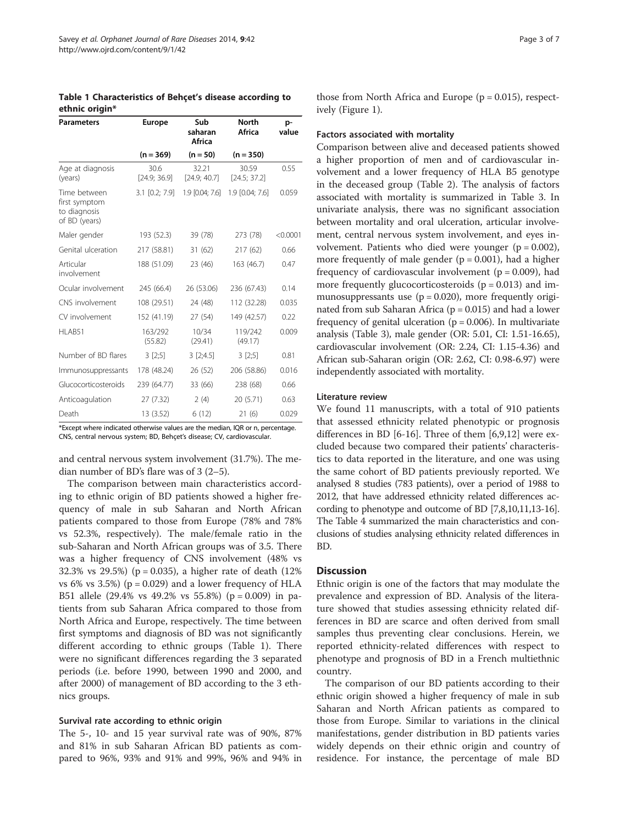<span id="page-3-0"></span>Table 1 Characteristics of Behçet's disease according to ethnic origin\*

| <b>Parameters</b>                                              | Sub<br><b>Europe</b><br>saharan<br><b>Africa</b> |                       | <b>North</b><br>Africa | p-<br>value |  |
|----------------------------------------------------------------|--------------------------------------------------|-----------------------|------------------------|-------------|--|
|                                                                | $(n = 369)$                                      | $(n = 50)$            | $(n = 350)$            |             |  |
| Age at diagnosis<br>(years)                                    | 30.6<br>[24.9; 36.9]                             | 32.21<br>[24.9; 40.7] | 30.59<br>[24.5; 37.2]  | 0.55        |  |
| Time between<br>first symptom<br>to diagnosis<br>of BD (years) | 3.1 [0.2; 7.9]                                   | 1.9 [0.04; 7.6]       | 1.9 [0.04; 7.6]        | 0.059       |  |
| Maler gender                                                   | 193 (52.3)                                       | 39 (78)               | 273 (78)               | < 0.0001    |  |
| Genital ulceration                                             | 217 (58.81)                                      | 31 (62)               | 217(62)                | 0.66        |  |
| Articular<br>involvement                                       | 188 (51.09)                                      | 23 (46)               | 163 (46.7)             | 0.47        |  |
| Ocular involvement                                             | 245 (66.4)                                       | 26 (53.06)            | 236 (67.43)            | 0.14        |  |
| CNS involvement                                                | 108 (29.51)                                      | 24 (48)               | 112 (32.28)            | 0.035       |  |
| CV involvement                                                 | 152 (41.19)                                      | 27 (54)               | 149 (42.57)            | 0.22        |  |
| HLAB51                                                         | 163/292<br>(55.82)                               | 10/34<br>(29.41)      | 119/242<br>(49.17)     | 0.009       |  |
| Number of BD flares                                            | 3[2;5]                                           | 3 [2; 4.5]            | 3[2;5]                 | 0.81        |  |
| Immunosuppressants                                             | 178 (48.24)                                      | 26 (52)               | 206 (58.86)            | 0.016       |  |
| Glucocorticosteroids                                           | 239 (64.77)                                      | 33 (66)               | 238 (68)               | 0.66        |  |
| Anticoagulation                                                | 27 (7.32)                                        | 2(4)                  | 20 (5.71)              | 0.63        |  |
| Death<br>$\sim$ $\sim$ $\sim$ $\sim$                           | 13 (3.52)                                        | 6(12)<br>$\cdots$     | 21(6)<br>$\sim$        | 0.029       |  |

\*Except where indicated otherwise values are the median, IQR or n, percentage. CNS, central nervous system; BD, Behçet's disease; CV, cardiovascular.

and central nervous system involvement (31.7%). The median number of BD's flare was of 3 (2–5).

The comparison between main characteristics according to ethnic origin of BD patients showed a higher frequency of male in sub Saharan and North African patients compared to those from Europe (78% and 78% vs 52.3%, respectively). The male/female ratio in the sub-Saharan and North African groups was of 3.5. There was a higher frequency of CNS involvement (48% vs 32.3% vs 29.5%) (p = 0.035), a higher rate of death (12% vs 6% vs 3.5%) ( $p = 0.029$ ) and a lower frequency of HLA B51 allele (29.4% vs 49.2% vs 55.8%) (p = 0.009) in patients from sub Saharan Africa compared to those from North Africa and Europe, respectively. The time between first symptoms and diagnosis of BD was not significantly different according to ethnic groups (Table 1). There were no significant differences regarding the 3 separated periods (i.e. before 1990, between 1990 and 2000, and after 2000) of management of BD according to the 3 ethnics groups.

#### Survival rate according to ethnic origin

The 5-, 10- and 15 year survival rate was of 90%, 87% and 81% in sub Saharan African BD patients as compared to 96%, 93% and 91% and 99%, 96% and 94% in

those from North Africa and Europe  $(p = 0.015)$ , respectively (Figure [1\)](#page-4-0).

#### Factors associated with mortality

Comparison between alive and deceased patients showed a higher proportion of men and of cardiovascular involvement and a lower frequency of HLA B5 genotype in the deceased group (Table [2](#page-4-0)). The analysis of factors associated with mortality is summarized in Table [3](#page-5-0). In univariate analysis, there was no significant association between mortality and oral ulceration, articular involvement, central nervous system involvement, and eyes involvement. Patients who died were younger  $(p = 0.002)$ , more frequently of male gender  $(p = 0.001)$ , had a higher frequency of cardiovascular involvement ( $p = 0.009$ ), had more frequently glucocorticosteroids  $(p = 0.013)$  and immunosuppressants use  $(p = 0.020)$ , more frequently originated from sub Saharan Africa ( $p = 0.015$ ) and had a lower frequency of genital ulceration ( $p = 0.006$ ). In multivariate analysis (Table [3\)](#page-5-0), male gender (OR: 5.01, CI: 1.51-16.65), cardiovascular involvement (OR: 2.24, CI: 1.15-4.36) and African sub-Saharan origin (OR: 2.62, CI: 0.98-6.97) were independently associated with mortality.

#### Literature review

We found 11 manuscripts, with a total of 910 patients that assessed ethnicity related phenotypic or prognosis differences in BD [[6-](#page-6-0)[16\]](#page-7-0). Three of them [\[6](#page-6-0),[9](#page-7-0),[12](#page-7-0)] were excluded because two compared their patients' characteristics to data reported in the literature, and one was using the same cohort of BD patients previously reported. We analysed 8 studies (783 patients), over a period of 1988 to 2012, that have addressed ethnicity related differences according to phenotype and outcome of BD [\[7,](#page-6-0)[8,10,11,13-16](#page-7-0)]. The Table [4](#page-5-0) summarized the main characteristics and conclusions of studies analysing ethnicity related differences in BD.

#### **Discussion**

Ethnic origin is one of the factors that may modulate the prevalence and expression of BD. Analysis of the literature showed that studies assessing ethnicity related differences in BD are scarce and often derived from small samples thus preventing clear conclusions. Herein, we reported ethnicity-related differences with respect to phenotype and prognosis of BD in a French multiethnic country.

The comparison of our BD patients according to their ethnic origin showed a higher frequency of male in sub Saharan and North African patients as compared to those from Europe. Similar to variations in the clinical manifestations, gender distribution in BD patients varies widely depends on their ethnic origin and country of residence. For instance, the percentage of male BD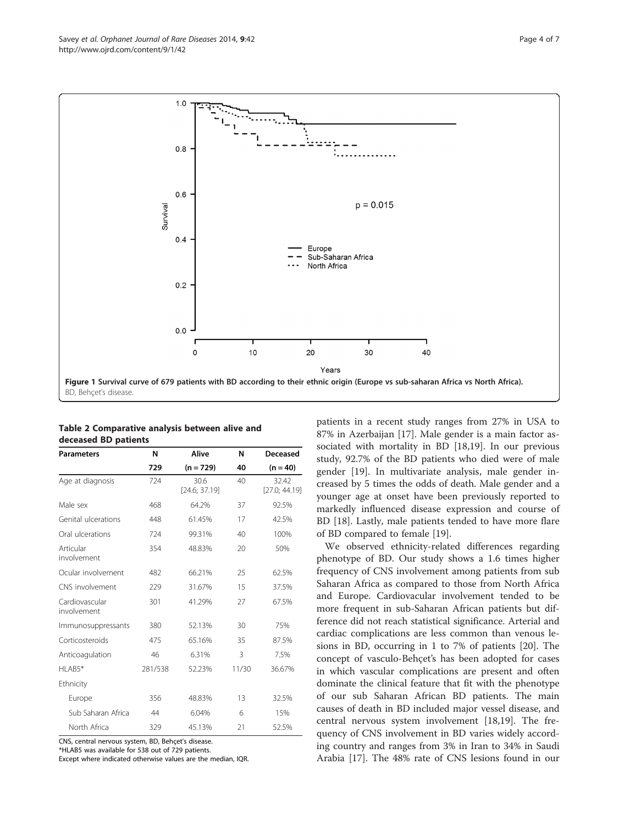<span id="page-4-0"></span>

| Table 2 Comparative analysis between alive and |  |  |
|------------------------------------------------|--|--|
| deceased BD patients                           |  |  |

| <b>Parameters</b>             | N       | Alive                 | N     | Deceased               |
|-------------------------------|---------|-----------------------|-------|------------------------|
|                               | 729     | $(n = 729)$           | 40    | $(n = 40)$             |
| Age at diagnosis              | 724     | 30.6<br>[24.6; 37.19] | 40    | 32.42<br>[27.0; 44.19] |
| Male sex                      | 468     | 64.2%                 | 37    | 92.5%                  |
| Genital ulcerations           | 448     | 61.45%                | 17    | 42.5%                  |
| Oral ulcerations              | 724     | 99.31%                | 40    | 100%                   |
| Articular<br>involvement      | 354     | 48.83%                | 20    | 50%                    |
| Ocular involvement            | 482     | 66.21%                | 25    | 62.5%                  |
| CNS involvement               | 229     | 31.67%                | 15    | 37.5%                  |
| Cardiovascular<br>involvement | 301     | 41.29%                | 27    | 67.5%                  |
| Immunosuppressants            | 380     | 52.13%                | 30    | 75%                    |
| Corticosteroids               | 475     | 65.16%                | 35    | 87.5%                  |
| Anticoagulation               | 46      | 6.31%                 | 3     | 7.5%                   |
| HLAB5*                        | 281/538 | 52.23%                | 11/30 | 36.67%                 |
| Ethnicity                     |         |                       |       |                        |
| Europe                        | 356     | 48.83%                | 13    | 32.5%                  |
| Sub Saharan Africa            | 44      | 6.04%                 | 6     | 15%                    |
| North Africa                  | 329     | 45.13%                | 21    | 52.5%                  |

CNS, central nervous system, BD, Behçet's disease.

\*HLAB5 was available for 538 out of 729 patients.

Except where indicated otherwise values are the median, IQR.

patients in a recent study ranges from 27% in USA to 87% in Azerbaijan [[17\]](#page-7-0). Male gender is a main factor associated with mortality in BD [\[18,19\]](#page-7-0). In our previous study, 92.7% of the BD patients who died were of male gender [\[19\]](#page-7-0). In multivariate analysis, male gender increased by 5 times the odds of death. Male gender and a younger age at onset have been previously reported to markedly influenced disease expression and course of BD [\[18](#page-7-0)]. Lastly, male patients tended to have more flare of BD compared to female [\[19](#page-7-0)].

We observed ethnicity-related differences regarding phenotype of BD. Our study shows a 1.6 times higher frequency of CNS involvement among patients from sub Saharan Africa as compared to those from North Africa and Europe. Cardiovacular involvement tended to be more frequent in sub-Saharan African patients but difference did not reach statistical significance. Arterial and cardiac complications are less common than venous lesions in BD, occurring in 1 to 7% of patients [\[20](#page-7-0)]. The concept of vasculo-Behçet's has been adopted for cases in which vascular complications are present and often dominate the clinical feature that fit with the phenotype of our sub Saharan African BD patients. The main causes of death in BD included major vessel disease, and central nervous system involvement [\[18,19](#page-7-0)]. The frequency of CNS involvement in BD varies widely according country and ranges from 3% in Iran to 34% in Saudi Arabia [[17\]](#page-7-0). The 48% rate of CNS lesions found in our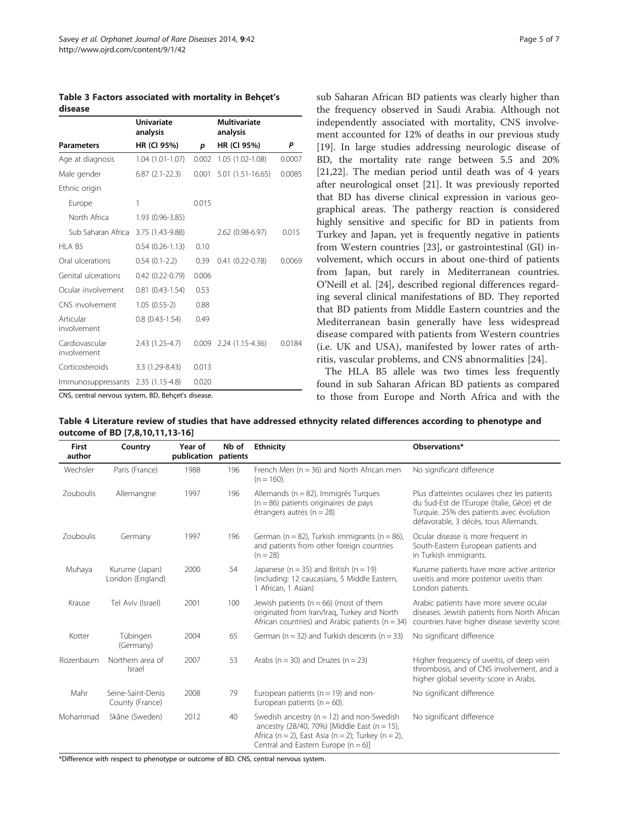<span id="page-5-0"></span>Table 3 Factors associated with mortality in Behçet's disease

|                               | <b>Univariate</b><br>analysis |       | Multivariate<br>analysis |        |
|-------------------------------|-------------------------------|-------|--------------------------|--------|
| <b>Parameters</b>             | HR (CI 95%)                   | p     | HR (CI 95%)              | P      |
| Age at diagnosis              | 1.04 (1.01-1.07)              | 0.002 | 1.05 (1.02-1.08)         | 0.0007 |
| Male gender                   | $6.87(2.1-22.3)$              | 0.001 | $5.01(1.51-16.65)$       | 0.0085 |
| Ethnic origin                 |                               |       |                          |        |
| Europe                        | 1                             | 0.015 |                          |        |
| North Africa                  | 1.93 (0.96-3.85)              |       |                          |        |
| Sub Saharan Africa            | 3.75 (1.43-9.88)              |       | 2.62 (0.98-6.97)         | 0.015  |
| HLA B5                        | $0.54(0.26-1.13)$             | 0.10  |                          |        |
| Oral ulcerations              | $0.54(0.1-2.2)$               | 0.39  | $0.41(0.22 - 0.78)$      | 0.0069 |
| Genital ulcerations           | $0.42(0.22 - 0.79)$           | 0.006 |                          |        |
| Ocular involvement            | $0.81(0.43-1.54)$             | 0.53  |                          |        |
| CNS involvement               | $1.05(0.55-2)$                | 0.88  |                          |        |
| Articular<br>involvement      | $0.8$ $(0.43 - 1.54)$         | 0.49  |                          |        |
| Cardiovascular<br>involvement | 2.43 (1.25-4.7)               | 0.009 | 2.24 (1.15-4.36)         | 0.0184 |
| Corticosteroids               | 3.3 (1.29-8.43)               | 0.013 |                          |        |
| Immunosuppressants            | $2.35(1.15-4.8)$              | 0.020 |                          |        |

CNS, central nervous system, BD, Behçet's disease.

sub Saharan African BD patients was clearly higher than the frequency observed in Saudi Arabia. Although not independently associated with mortality, CNS involvement accounted for 12% of deaths in our previous study [[19\]](#page-7-0). In large studies addressing neurologic disease of BD, the mortality rate range between 5.5 and 20% [[21,22\]](#page-7-0). The median period until death was of 4 years after neurological onset [[21\]](#page-7-0). It was previously reported that BD has diverse clinical expression in various geographical areas. The pathergy reaction is considered highly sensitive and specific for BD in patients from Turkey and Japan, yet is frequently negative in patients from Western countries [\[23](#page-7-0)], or gastrointestinal (GI) involvement, which occurs in about one-third of patients from Japan, but rarely in Mediterranean countries. O'Neill et al. [\[24](#page-7-0)], described regional differences regarding several clinical manifestations of BD. They reported that BD patients from Middle Eastern countries and the Mediterranean basin generally have less widespread disease compared with patients from Western countries (i.e. UK and USA), manifested by lower rates of arthritis, vascular problems, and CNS abnormalities [[24](#page-7-0)].

The HLA B5 allele was two times less frequently found in sub Saharan African BD patients as compared to those from Europe and North Africa and with the

Table 4 Literature review of studies that have addressed ethnycity related differences according to phenotype and outcome of BD [\[7](#page-6-0),[8,10,11,13](#page-7-0)-[16\]](#page-7-0)

| <b>First</b><br>author | Country                              | Year of<br>publication patients | Nb of | <b>Ethnicity</b>                                                                                                                                                                              | Observations*                                                                                                                                                                    |
|------------------------|--------------------------------------|---------------------------------|-------|-----------------------------------------------------------------------------------------------------------------------------------------------------------------------------------------------|----------------------------------------------------------------------------------------------------------------------------------------------------------------------------------|
| Wechsler               | Paris (France)                       | 1988                            | 196   | French Men $(n = 36)$ and North African men<br>$(n = 160)$ .                                                                                                                                  | No significant difference                                                                                                                                                        |
| Zouboulis              | Allemangne                           | 1997                            | 196   | Allemands (n = 82), Immigrés Turques<br>$(n = 86)$ patients originaires de pays<br>étrangers autres ( $n = 28$ )                                                                              | Plus d'atteintes oculaires chez les patients<br>du Sud-Est de l'Europe (Italie, Gèce) et de<br>Turquie. 25% des patients avec évolution<br>défavorable, 3 décès, tous Allemands. |
| Zouboulis              | Germany                              | 1997                            | 196   | German ( $n = 82$ ), Turkish immigrants ( $n = 86$ ),<br>and patients from other foreign countries<br>$(n = 28)$                                                                              | Ocular disease is more frequent in<br>South-Eastern European patients and<br>in Turkish immigrants.                                                                              |
| Muhaya                 | Kurume (Japan)<br>London (England)   | 2000                            | 54    | Japanese ( $n = 35$ ) and British ( $n = 19$ )<br>(including: 12 caucasians, 5 Middle Eastern,<br>1 African, 1 Asian)                                                                         | Kurume patients have more active anterior<br>uveitis and more posterior uveitis than<br>London patients.                                                                         |
| Krause                 | Tel Aviv (Israel)                    | 2001                            | 100   | Jewish patients ( $n = 66$ ) (most of them<br>originated from Iran/Irag, Turkey and North<br>African countries) and Arabic patients ( $n = 34$ )                                              | Arabic patients have more severe ocular<br>diseases. Jewish patients from North African<br>countries have higher disease severity score.                                         |
| Kotter                 | Tübingen<br>(Germany)                | 2004                            | 65    | German ( $n = 32$ ) and Turkish descents ( $n = 33$ )                                                                                                                                         | No significant difference                                                                                                                                                        |
| Rozenbaum              | Northern area of<br>Israel           | 2007                            | 53    | Arabs ( $n = 30$ ) and Druzes ( $n = 23$ )                                                                                                                                                    | Higher frequency of uveitis, of deep vein<br>thrombosis, and of CNS involvement, and a<br>higher global severity score in Arabs.                                                 |
| Mahr                   | Seine-Saint-Denis<br>County (France) | 2008                            | 79    | European patients ( $n = 19$ ) and non-<br>European patients ( $n = 60$ ).                                                                                                                    | No significant difference                                                                                                                                                        |
| Mohammad               | Skåne (Sweden)                       | 2012                            | 40    | Swedish ancestry ( $n = 12$ ) and non-Swedish<br>ancestry (28/40, 70%) [Middle East (n = 15),<br>Africa (n = 2), East Asia (n = 2); Turkey (n = 2),<br>Central and Eastern Europe $(n = 6)$ ] | No significant difference                                                                                                                                                        |

\*Difference with respect to phenotype or outcome of BD. CNS, central nervous system.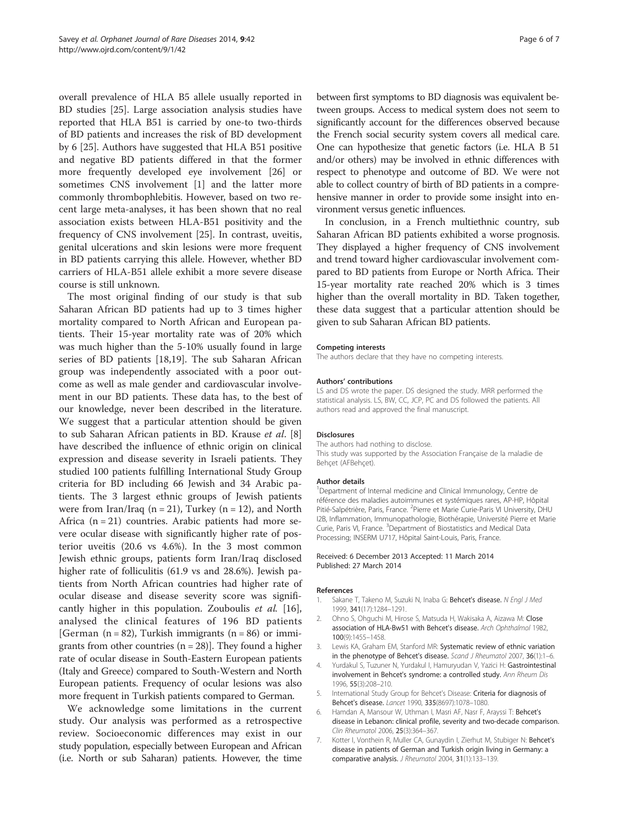<span id="page-6-0"></span>overall prevalence of HLA B5 allele usually reported in BD studies [\[25](#page-7-0)]. Large association analysis studies have reported that HLA B51 is carried by one-to two-thirds of BD patients and increases the risk of BD development by 6 [\[25\]](#page-7-0). Authors have suggested that HLA B51 positive and negative BD patients differed in that the former more frequently developed eye involvement [[26\]](#page-7-0) or sometimes CNS involvement [1] and the latter more commonly thrombophlebitis. However, based on two recent large meta-analyses, it has been shown that no real association exists between HLA-B51 positivity and the frequency of CNS involvement [[25\]](#page-7-0). In contrast, uveitis, genital ulcerations and skin lesions were more frequent in BD patients carrying this allele. However, whether BD carriers of HLA-B51 allele exhibit a more severe disease course is still unknown.

The most original finding of our study is that sub Saharan African BD patients had up to 3 times higher mortality compared to North African and European patients. Their 15-year mortality rate was of 20% which was much higher than the 5-10% usually found in large series of BD patients [[18,19\]](#page-7-0). The sub Saharan African group was independently associated with a poor outcome as well as male gender and cardiovascular involvement in our BD patients. These data has, to the best of our knowledge, never been described in the literature. We suggest that a particular attention should be given to sub Saharan African patients in BD. Krause et al. [\[8](#page-7-0)] have described the influence of ethnic origin on clinical expression and disease severity in Israeli patients. They studied 100 patients fulfilling International Study Group criteria for BD including 66 Jewish and 34 Arabic patients. The 3 largest ethnic groups of Jewish patients were from Iran/Iraq ( $n = 21$ ), Turkey ( $n = 12$ ), and North Africa  $(n = 21)$  countries. Arabic patients had more severe ocular disease with significantly higher rate of posterior uveitis (20.6 vs 4.6%). In the 3 most common Jewish ethnic groups, patients form Iran/Iraq disclosed higher rate of folliculitis (61.9 vs and 28.6%). Jewish patients from North African countries had higher rate of ocular disease and disease severity score was significantly higher in this population. Zouboulis et al. [\[16](#page-7-0)], analysed the clinical features of 196 BD patients [German  $(n = 82)$ , Turkish immigrants  $(n = 86)$  or immigrants from other countries  $(n = 28)$ . They found a higher rate of ocular disease in South-Eastern European patients (Italy and Greece) compared to South-Western and North European patients. Frequency of ocular lesions was also more frequent in Turkish patients compared to German.

We acknowledge some limitations in the current study. Our analysis was performed as a retrospective review. Socioeconomic differences may exist in our study population, especially between European and African (i.e. North or sub Saharan) patients. However, the time

between first symptoms to BD diagnosis was equivalent between groups. Access to medical system does not seem to significantly account for the differences observed because the French social security system covers all medical care. One can hypothesize that genetic factors (i.e. HLA B 51 and/or others) may be involved in ethnic differences with respect to phenotype and outcome of BD. We were not able to collect country of birth of BD patients in a comprehensive manner in order to provide some insight into environment versus genetic influences.

In conclusion, in a French multiethnic country, sub Saharan African BD patients exhibited a worse prognosis. They displayed a higher frequency of CNS involvement and trend toward higher cardiovascular involvement compared to BD patients from Europe or North Africa. Their 15-year mortality rate reached 20% which is 3 times higher than the overall mortality in BD. Taken together, these data suggest that a particular attention should be given to sub Saharan African BD patients.

#### Competing interests

The authors declare that they have no competing interests.

#### Authors' contributions

LS and DS wrote the paper. DS designed the study. MRR performed the statistical analysis. LS, BW, CC, JCP, PC and DS followed the patients. All authors read and approved the final manuscript.

#### Disclosures

The authors had nothing to disclose. This study was supported by the Association Française de la maladie de Behçet (AFBehçet).

#### Author details

<sup>1</sup>Department of Internal medicine and Clinical Immunology, Centre de référence des maladies autoimmunes et systémiques rares, AP-HP, Hôpital Pitié-Salpétrière, Paris, France. <sup>2</sup> Pierre et Marie Curie-Paris VI University, DHU I2B, Inflammation, Immunopathologie, Biothérapie, Université Pierre et Marie Curie, Paris VI, France. <sup>3</sup>Department of Biostatistics and Medical Data Processing; INSERM U717, Hôpital Saint-Louis, Paris, France.

#### Received: 6 December 2013 Accepted: 11 March 2014 Published: 27 March 2014

#### References

- 1. Sakane T, Takeno M, Suzuki N, Inaba G: Behcet's disease. N Engl J Med 1999, 341(17):1284–1291.
- 2. Ohno S, Ohguchi M, Hirose S, Matsuda H, Wakisaka A, Aizawa M: Close association of HLA-Bw51 with Behcet's disease. Arch Ophthalmol 1982, 100(9):1455–1458.
- 3. Lewis KA, Graham EM, Stanford MR: Systematic review of ethnic variation in the phenotype of Behcet's disease. Scand J Rheumatol 2007, 36(1):1-6.
- 4. Yurdakul S, Tuzuner N, Yurdakul I, Hamuryudan V, Yazici H: Gastrointestinal involvement in Behcet's syndrome: a controlled study. Ann Rheum Dis 1996, 55(3):208–210.
- 5. International Study Group for Behcet's Disease: Criteria for diagnosis of Behcet's disease. Lancet 1990, 335(8697):1078–1080.
- 6. Hamdan A, Mansour W, Uthman I, Masri AF, Nasr F, Arayssi T: Behcet's disease in Lebanon: clinical profile, severity and two-decade comparison. Clin Rheumatol 2006, 25(3):364–367.
- 7. Kotter I, Vonthein R, Muller CA, Gunaydin I, Zierhut M, Stubiger N: Behcet's disease in patients of German and Turkish origin living in Germany: a comparative analysis. J Rheumatol 2004, 31(1):133–139.